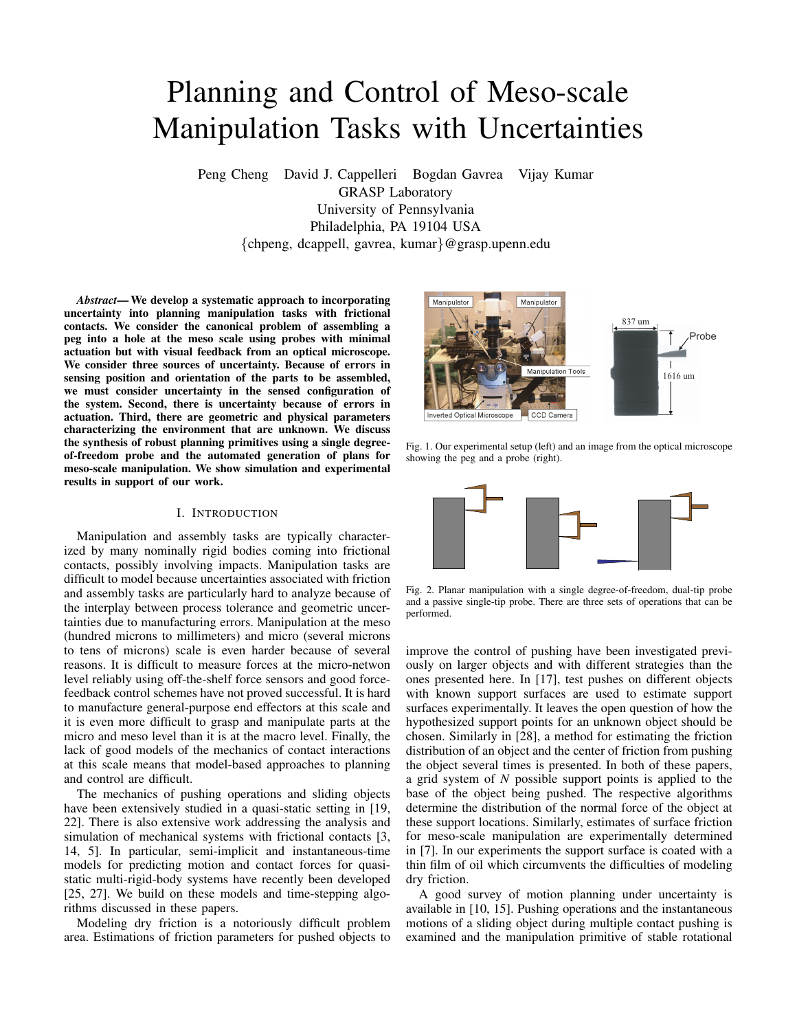# Planning and Control of Meso-scale Manipulation Tasks with Uncertainties

Peng Cheng David J. Cappelleri Bogdan Gavrea Vijay Kumar GRASP Laboratory University of Pennsylvania Philadelphia, PA 19104 USA {chpeng, dcappell, gavrea, kumar}@grasp.upenn.edu

*Abstract*— We develop a systematic approach to incorporating uncertainty into planning manipulation tasks with frictional contacts. We consider the canonical problem of assembling a peg into a hole at the meso scale using probes with minimal actuation but with visual feedback from an optical microscope. We consider three sources of uncertainty. Because of errors in sensing position and orientation of the parts to be assembled, we must consider uncertainty in the sensed configuration of the system. Second, there is uncertainty because of errors in actuation. Third, there are geometric and physical parameters characterizing the environment that are unknown. We discuss the synthesis of robust planning primitives using a single degreeof-freedom probe and the automated generation of plans for meso-scale manipulation. We show simulation and experimental results in support of our work.

## I. INTRODUCTION

Manipulation and assembly tasks are typically characterized by many nominally rigid bodies coming into frictional contacts, possibly involving impacts. Manipulation tasks are difficult to model because uncertainties associated with friction and assembly tasks are particularly hard to analyze because of the interplay between process tolerance and geometric uncertainties due to manufacturing errors. Manipulation at the meso (hundred microns to millimeters) and micro (several microns to tens of microns) scale is even harder because of several reasons. It is difficult to measure forces at the micro-netwon level reliably using off-the-shelf force sensors and good forcefeedback control schemes have not proved successful. It is hard to manufacture general-purpose end effectors at this scale and it is even more difficult to grasp and manipulate parts at the micro and meso level than it is at the macro level. Finally, the lack of good models of the mechanics of contact interactions at this scale means that model-based approaches to planning and control are difficult.

The mechanics of pushing operations and sliding objects have been extensively studied in a quasi-static setting in [19, 22]. There is also extensive work addressing the analysis and simulation of mechanical systems with frictional contacts [3, 14, 5]. In particular, semi-implicit and instantaneous-time models for predicting motion and contact forces for quasistatic multi-rigid-body systems have recently been developed [25, 27]. We build on these models and time-stepping algorithms discussed in these papers.

Modeling dry friction is a notoriously difficult problem area. Estimations of friction parameters for pushed objects to



Fig. 1. Our experimental setup (left) and an image from the optical microscope showing the peg and a probe (right).



Fig. 2. Planar manipulation with a single degree-of-freedom, dual-tip probe and a passive single-tip probe. There are three sets of operations that can be performed.

improve the control of pushing have been investigated previously on larger objects and with different strategies than the ones presented here. In [17], test pushes on different objects with known support surfaces are used to estimate support surfaces experimentally. It leaves the open question of how the hypothesized support points for an unknown object should be chosen. Similarly in [28], a method for estimating the friction distribution of an object and the center of friction from pushing the object several times is presented. In both of these papers, a grid system of *N* possible support points is applied to the base of the object being pushed. The respective algorithms determine the distribution of the normal force of the object at these support locations. Similarly, estimates of surface friction for meso-scale manipulation are experimentally determined in [7]. In our experiments the support surface is coated with a thin film of oil which circumvents the difficulties of modeling dry friction.

A good survey of motion planning under uncertainty is available in [10, 15]. Pushing operations and the instantaneous motions of a sliding object during multiple contact pushing is examined and the manipulation primitive of stable rotational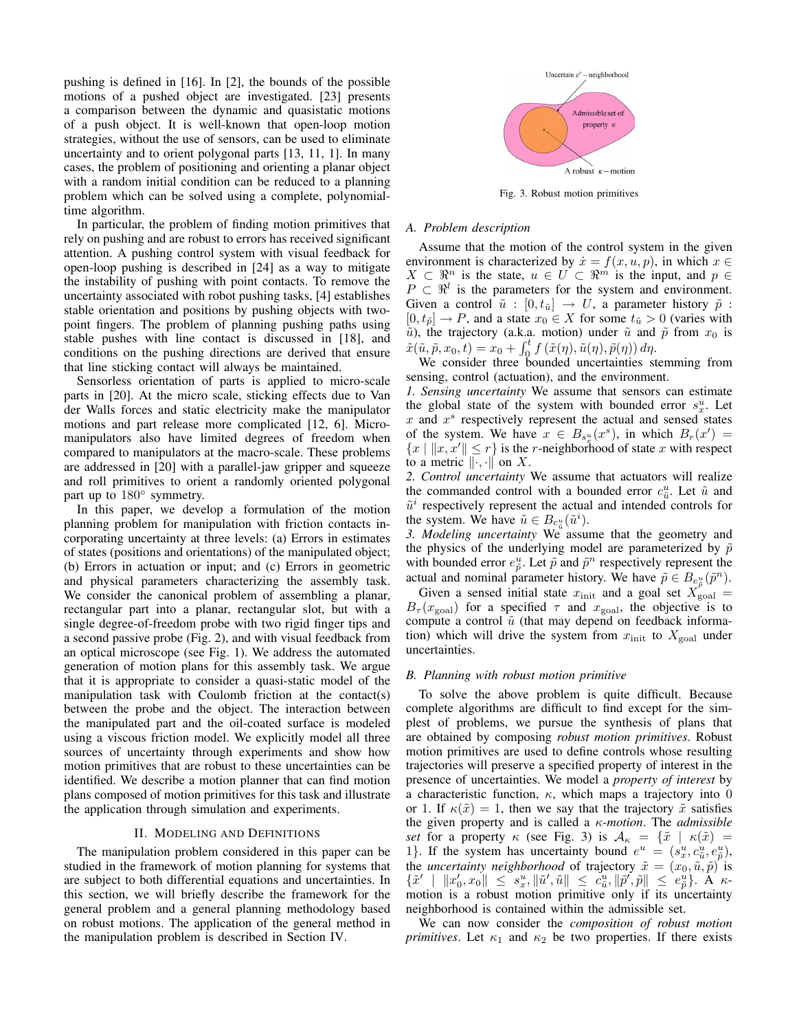pushing is defined in [16]. In [2], the bounds of the possible motions of a pushed object are investigated. [23] presents a comparison between the dynamic and quasistatic motions of a push object. It is well-known that open-loop motion strategies, without the use of sensors, can be used to eliminate uncertainty and to orient polygonal parts [13, 11, 1]. In many cases, the problem of positioning and orienting a planar object with a random initial condition can be reduced to a planning problem which can be solved using a complete, polynomialtime algorithm.

In particular, the problem of finding motion primitives that rely on pushing and are robust to errors has received significant attention. A pushing control system with visual feedback for open-loop pushing is described in [24] as a way to mitigate the instability of pushing with point contacts. To remove the uncertainty associated with robot pushing tasks, [4] establishes stable orientation and positions by pushing objects with twopoint fingers. The problem of planning pushing paths using stable pushes with line contact is discussed in [18], and conditions on the pushing directions are derived that ensure that line sticking contact will always be maintained.

Sensorless orientation of parts is applied to micro-scale parts in [20]. At the micro scale, sticking effects due to Van der Walls forces and static electricity make the manipulator motions and part release more complicated [12, 6]. Micromanipulators also have limited degrees of freedom when compared to manipulators at the macro-scale. These problems are addressed in [20] with a parallel-jaw gripper and squeeze and roll primitives to orient a randomly oriented polygonal part up to 180° symmetry.

In this paper, we develop a formulation of the motion planning problem for manipulation with friction contacts incorporating uncertainty at three levels: (a) Errors in estimates of states (positions and orientations) of the manipulated object; (b) Errors in actuation or input; and (c) Errors in geometric and physical parameters characterizing the assembly task. We consider the canonical problem of assembling a planar, rectangular part into a planar, rectangular slot, but with a single degree-of-freedom probe with two rigid finger tips and a second passive probe (Fig. 2), and with visual feedback from an optical microscope (see Fig. 1). We address the automated generation of motion plans for this assembly task. We argue that it is appropriate to consider a quasi-static model of the manipulation task with Coulomb friction at the contact(s) between the probe and the object. The interaction between the manipulated part and the oil-coated surface is modeled using a viscous friction model. We explicitly model all three sources of uncertainty through experiments and show how motion primitives that are robust to these uncertainties can be identified. We describe a motion planner that can find motion plans composed of motion primitives for this task and illustrate the application through simulation and experiments.

#### II. MODELING AND DEFINITIONS

The manipulation problem considered in this paper can be studied in the framework of motion planning for systems that are subject to both differential equations and uncertainties. In this section, we will briefly describe the framework for the general problem and a general planning methodology based on robust motions. The application of the general method in the manipulation problem is described in Section IV.



Fig. 3. Robust motion primitives

## *A. Problem description*

Assume that the motion of the control system in the given environment is characterized by  $\dot{x} = f(x, u, p)$ , in which  $x \in$  $X \subset \mathbb{R}^n$  is the state,  $u \in U \subset \mathbb{R}^m$  is the input, and  $p \in$  $P \subset \mathbb{R}^l$  is the parameters for the system and environment. Given a control  $\tilde{u} : [0, t_{\tilde{u}}] \rightarrow U$ , a parameter history  $\tilde{p}$  :  $[0, t_{\tilde{p}}] \rightarrow P$ , and a state  $x_0 \in X$  for some  $t_{\tilde{u}} > 0$  (varies with  $\tilde{u}$ ), the trajectory (a.k.a. motion) under  $\tilde{u}$  and  $\tilde{p}$  from  $x_0$  is  $\tilde{x}(\tilde{u}, \tilde{p}, x_0, t) = x_0 + \int_0^t f(\tilde{x}(\eta), \tilde{u}(\eta), \tilde{p}(\eta)) d\eta.$ <br>We consider three bounded uncertainties st

We consider three bounded uncertainties stemming from sensing, control (actuation), and the environment.

*1. Sensing uncertainty* We assume that sensors can estimate the global state of the system with bounded error  $s_x^u$ . Let  $x$  and  $x<sup>s</sup>$  respectively represent the actual and sensed states of the system. We have  $x \in B_{s^u_x}(x^s)$ , in which  $B_r(x') =$  ${x \mid ||x, x'|| \leq r}$  is the *r*-neighborhood of state x with respect to a metric  $\|\cdot,\cdot\|$  on X.

*2. Control uncertainty* We assume that actuators will realize the commanded control with a bounded error  $c_u^u$ . Let  $\tilde{u}$  and  $\tilde{v}^i$  respectively represent the actual and intended controls for  $\tilde{u}^i$  respectively represent the actual and intended controls for the system. We have  $\tilde{u} \in B_{c_{\tilde{u}}}(\tilde{u}^i)$ .

*3. Modeling uncertainty* We assume that the geometry and the physics of the underlying model are parameterized by  $\tilde{p}$ with bounded error  $e_p^u$ . Let  $\tilde{p}$  and  $\tilde{p}^n$  respectively represent the actual and nominal parameter history. We have  $\tilde{p} \in R_{\infty}(\tilde{p}^n)$ actual and nominal parameter history. We have  $\tilde{p} \in B_{e_{\tilde{p}}^u}(\tilde{p}^n)$ .

Given a sensed initial state  $x_{\text{init}}$  and a goal set  $X_{\text{goal}}^{\text{p}} =$  $B_{\tau}(x_{\text{goal}})$  for a specified  $\tau$  and  $x_{\text{goal}}$ , the objective is to compute a control  $\tilde{u}$  (that may depend on feedback information) which will drive the system from  $x_{\text{init}}$  to  $X_{\text{goal}}$  under uncertainties.

## *B. Planning with robust motion primitive*

To solve the above problem is quite difficult. Because complete algorithms are difficult to find except for the simplest of problems, we pursue the synthesis of plans that are obtained by composing *robust motion primitives*. Robust motion primitives are used to define controls whose resulting trajectories will preserve a specified property of interest in the presence of uncertainties. We model a *property of interest* by a characteristic function,  $\kappa$ , which maps a trajectory into 0 or 1. If  $\kappa(\tilde{x})=1$ , then we say that the trajectory  $\tilde{x}$  satisfies the given property and is called a κ*-motion*. The *admissible set* for a property  $\kappa$  (see Fig. 3) is  $A_{\kappa} = {\tilde{x} \mid \kappa(\tilde{x}) =$ 1). If the system has uncertainty bound  $e^u = (s_u^u, c_u^u, e_p^u)$ ,<br>the uncertainty neighborhood of trajectory  $\tilde{x} = (x_o, \tilde{u}, \tilde{v}_p)$  is the *uncertainty neighborhood* of trajectory  $\tilde{x} = (x_0, \tilde{u}, \tilde{p})$  is  $\{\tilde{x}' \mid ||x'_0, x_0|| \leq s_x^u, ||\tilde{u}', \tilde{u}|| \leq c_y^u, ||\tilde{p}', \tilde{p}|| \leq \epsilon_y^u\}.$  A  $\kappa$ motion is a robust motion primitive only if its uncertainty motion is a robust motion primitive only if its uncertainty neighborhood is contained within the admissible set.

We can now consider the *composition of robust motion primitives*. Let  $\kappa_1$  and  $\kappa_2$  be two properties. If there exists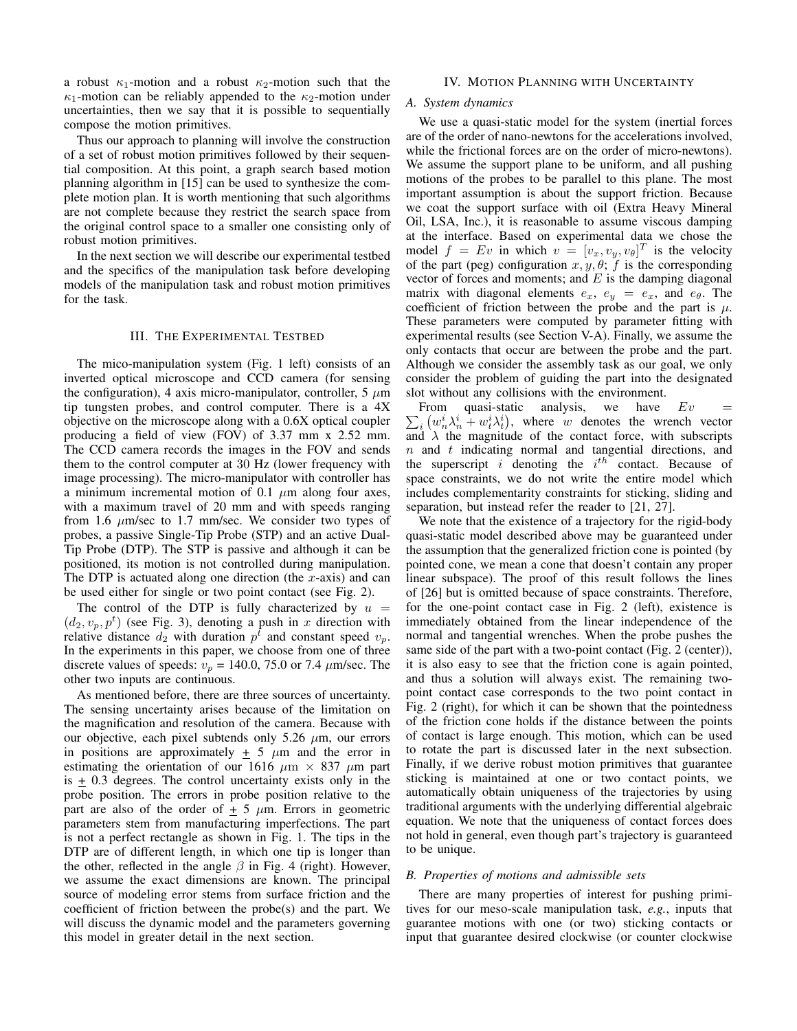a robust  $\kappa_1$ -motion and a robust  $\kappa_2$ -motion such that the  $\kappa_1$ -motion can be reliably appended to the  $\kappa_2$ -motion under<br>uncertainties, then we say that it is possible to sequentially uncertainties, then we say that it is possible to sequentially compose the motion primitives.

Thus our approach to planning will involve the construction of a set of robust motion primitives followed by their sequential composition. At this point, a graph search based motion planning algorithm in [15] can be used to synthesize the complete motion plan. It is worth mentioning that such algorithms are not complete because they restrict the search space from the original control space to a smaller one consisting only of robust motion primitives.

In the next section we will describe our experimental testbed and the specifics of the manipulation task before developing models of the manipulation task and robust motion primitives for the task.

## III. THE EXPERIMENTAL TESTBED

The mico-manipulation system (Fig. 1 left) consists of an inverted optical microscope and CCD camera (for sensing the configuration), 4 axis micro-manipulator, controller, 5  $\mu$ m tip tungsten probes, and control computer. There is a 4X objective on the microscope along with a 0.6X optical coupler producing a field of view (FOV) of 3.37 mm x 2.52 mm. The CCD camera records the images in the FOV and sends them to the control computer at 30 Hz (lower frequency with image processing). The micro-manipulator with controller has a minimum incremental motion of 0.1  $\mu$ m along four axes, with a maximum travel of 20 mm and with speeds ranging from 1.6  $\mu$ m/sec to 1.7 mm/sec. We consider two types of probes, a passive Single-Tip Probe (STP) and an active Dual-Tip Probe (DTP). The STP is passive and although it can be positioned, its motion is not controlled during manipulation. The DTP is actuated along one direction (the  $x$ -axis) and can be used either for single or two point contact (see Fig. 2).

The control of the DTP is fully characterized by  $u =$  $(d_2, v_p, p^t)$  (see Fig. 3), denoting a push in x direction with<br>relative distance  $d_2$ , with duration  $p^t$  and constant speed  $v$ . relative distance  $d_2$  with duration  $p^{\bar{t}}$  and constant speed  $v_p$ . In the experiments in this paper, we choose from one of three discrete values of speeds:  $v_p = 140.0$ , 75.0 or 7.4  $\mu$ m/sec. The other two inputs are continuous.

As mentioned before, there are three sources of uncertainty. The sensing uncertainty arises because of the limitation on the magnification and resolution of the camera. Because with our objective, each pixel subtends only 5.26  $\mu$ m, our errors in positions are approximately  $\pm$  5  $\mu$ m and the error in estimating the orientation of our 1616  $\mu$ m × 837  $\mu$ m part is  $\pm$  0.3 degrees. The control uncertainty exists only in the probe position. The errors in probe position relative to the part are also of the order of  $\pm$  5  $\mu$ m. Errors in geometric parameters stem from manufacturing imperfections. The part is not a perfect rectangle as shown in Fig. 1. The tips in the DTP are of different length, in which one tip is longer than the other, reflected in the angle  $\beta$  in Fig. 4 (right). However, we assume the exact dimensions are known. The principal source of modeling error stems from surface friction and the coefficient of friction between the probe(s) and the part. We will discuss the dynamic model and the parameters governing this model in greater detail in the next section.

## IV. MOTION PLANNING WITH UNCERTAINTY

#### *A. System dynamics*

We use a quasi-static model for the system (inertial forces are of the order of nano-newtons for the accelerations involved, while the frictional forces are on the order of micro-newtons). We assume the support plane to be uniform, and all pushing motions of the probes to be parallel to this plane. The most important assumption is about the support friction. Because we coat the support surface with oil (Extra Heavy Mineral Oil, LSA, Inc.), it is reasonable to assume viscous damping at the interface. Based on experimental data we chose the model  $f = Ev$  in which  $v = [v_x, v_y, v_\theta]^T$  is the velocity of the part (peg) configuration  $x, y, \theta$ ; f is the corresponding vector of forces and moments; and  $E$  is the damping diagonal matrix with diagonal elements  $e_x$ ,  $e_y = e_x$ , and  $e_\theta$ . The coefficient of friction between the probe and the part is  $\mu$ . These parameters were computed by parameter fitting with experimental results (see Section V-A). Finally, we assume the only contacts that occur are between the probe and the part. Although we consider the assembly task as our goal, we only consider the problem of guiding the part into the designated slot without any collisions with the environment.

 $\sum_i (w_n^i \lambda_n^i + w_t^i \lambda_t^i)$ , where w denotes the wrench vector From quasi-static analysis, we have  $Ev$ and  $\lambda$  the magnitude of the contact force, with subscripts  $n$  and  $t$  indicating normal and tangential directions, and the superscript  $i$  denoting the  $i^{th}$  contact. Because of space constraints, we do not write the entire model which includes complementarity constraints for sticking, sliding and separation, but instead refer the reader to [21, 27].

We note that the existence of a trajectory for the rigid-body quasi-static model described above may be guaranteed under the assumption that the generalized friction cone is pointed (by pointed cone, we mean a cone that doesn't contain any proper linear subspace). The proof of this result follows the lines of [26] but is omitted because of space constraints. Therefore, for the one-point contact case in Fig. 2 (left), existence is immediately obtained from the linear independence of the normal and tangential wrenches. When the probe pushes the same side of the part with a two-point contact (Fig. 2 (center)), it is also easy to see that the friction cone is again pointed, and thus a solution will always exist. The remaining twopoint contact case corresponds to the two point contact in Fig. 2 (right), for which it can be shown that the pointedness of the friction cone holds if the distance between the points of contact is large enough. This motion, which can be used to rotate the part is discussed later in the next subsection. Finally, if we derive robust motion primitives that guarantee sticking is maintained at one or two contact points, we automatically obtain uniqueness of the trajectories by using traditional arguments with the underlying differential algebraic equation. We note that the uniqueness of contact forces does not hold in general, even though part's trajectory is guaranteed to be unique.

## *B. Properties of motions and admissible sets*

There are many properties of interest for pushing primitives for our meso-scale manipulation task, *e.g.*, inputs that guarantee motions with one (or two) sticking contacts or input that guarantee desired clockwise (or counter clockwise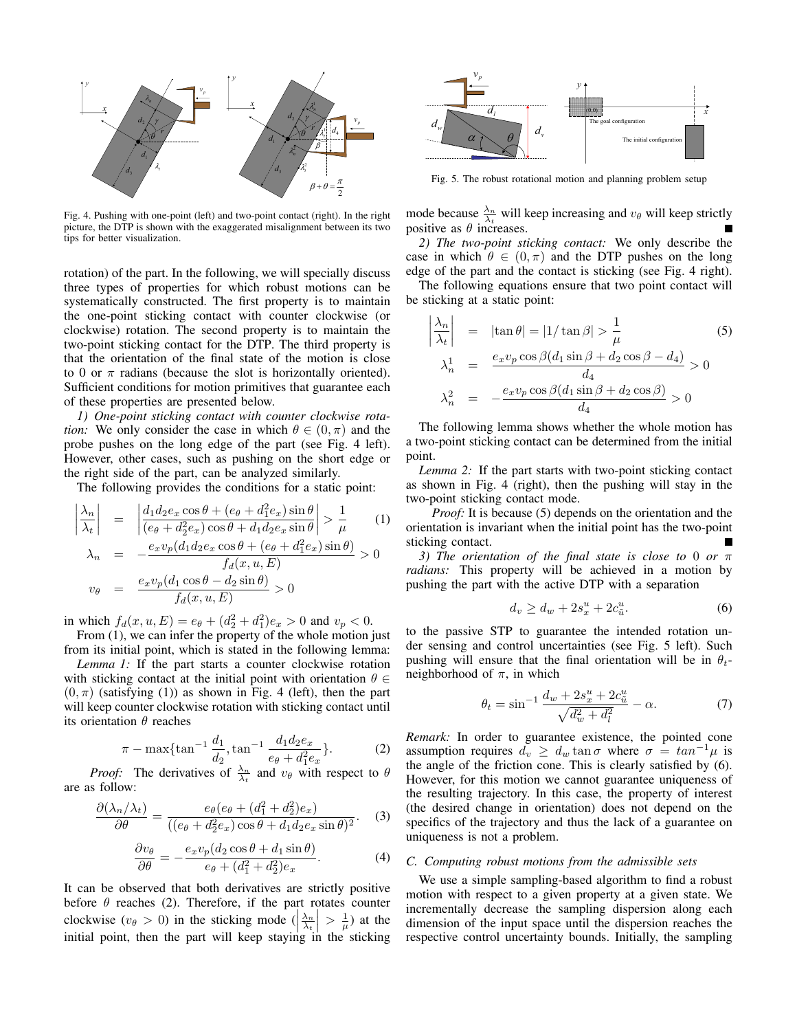

Fig. 4. Pushing with one-point (left) and two-point contact (right). In the right picture, the DTP is shown with the exaggerated misalignment between its two tips for better visualization.

rotation) of the part. In the following, we will specially discuss three types of properties for which robust motions can be systematically constructed. The first property is to maintain the one-point sticking contact with counter clockwise (or clockwise) rotation. The second property is to maintain the two-point sticking contact for the DTP. The third property is that the orientation of the final state of the motion is close to 0 or  $\pi$  radians (because the slot is horizontally oriented). Sufficient conditions for motion primitives that guarantee each of these properties are presented below.

*1) One-point sticking contact with counter clockwise rotation:* We only consider the case in which  $\theta \in (0, \pi)$  and the probe pushes on the long edge of the part (see Fig. 4 left). However, other cases, such as pushing on the short edge or the right side of the part, can be analyzed similarly.

The following provides the conditions for a static point:

$$
\begin{array}{rcl}\n\left| \frac{\lambda_n}{\lambda_t} \right| & = & \left| \frac{d_1 d_2 e_x \cos \theta + (e_\theta + d_1^2 e_x) \sin \theta}{(e_\theta + d_2^2 e_x) \cos \theta + d_1 d_2 e_x \sin \theta} \right| > \frac{1}{\mu} \\
\lambda_n & = & -\frac{e_x v_p (d_1 d_2 e_x \cos \theta + (e_\theta + d_1^2 e_x) \sin \theta)}{f_d(x, u, E)} > 0 \\
v_\theta & = & \frac{e_x v_p (d_1 \cos \theta - d_2 \sin \theta)}{f_d(x, u, E)} > 0\n\end{array} \tag{1}
$$

in which  $f_d(x, u, E) = e_\theta + (d_2^2 + d_1^2)e_x > 0$  and  $v_p < 0$ .<br>From (1) we can infer the property of the whole motion

From  $(1)$ , we can infer the property of the whole motion just from its initial point, which is stated in the following lemma:

*Lemma 1:* If the part starts a counter clockwise rotation with sticking contact at the initial point with orientation  $\theta \in$  $(0, \pi)$  (satisfying (1)) as shown in Fig. 4 (left), then the part will keep counter clockwise rotation with sticking contact until its orientation  $\theta$  reaches

$$
\pi - \max\{\tan^{-1}\frac{d_1}{d_2}, \tan^{-1}\frac{d_1 d_2 e_x}{e_\theta + d_1^2 e_x}\}.
$$
 (2)

*n* – max<sub>1</sub> tan  $\frac{d_2}{d_2}$ , tan  $\frac{e_{\theta} + d_1^2 e_x}{e_{\theta} + d_1^2 e_x}$ . (2)<br>*Proof:* The derivatives of  $\frac{\lambda_n}{\lambda_t}$  and  $v_{\theta}$  with respect to  $\theta$ are as follow:

$$
\frac{\partial(\lambda_n/\lambda_t)}{\partial \theta} = \frac{e_{\theta}(e_{\theta} + (d_1^2 + d_2^2)e_x)}{((e_{\theta} + d_2^2 e_x)\cos\theta + d_1 d_2 e_x \sin\theta)^2}.
$$
 (3)

$$
\frac{\partial v_{\theta}}{\partial \theta} = -\frac{e_x v_p (d_2 \cos \theta + d_1 \sin \theta)}{e_{\theta} + (d_1^2 + d_2^2) e_x}.
$$
 (4)

It can be observed that both derivatives are strictly positive before  $\theta$  reaches (2). Therefore, if the part rotates counter clockwise  $(v_{\theta} > 0)$  in the sticking mode (  $\left|\frac{\lambda_n}{\lambda_t}\right| > \frac{1}{\mu}$  at the initial point, then the part will keep staying in the sticking



Fig. 5. The robust rotational motion and planning problem setup

mode because  $\frac{\lambda_n}{\lambda_t}$  will keep increasing and  $v_\theta$  will keep strictly positive as  $\theta$  increases.

*2) The two-point sticking contact:* We only describe the case in which  $\theta \in (0, \pi)$  and the DTP pushes on the long edge of the part and the contact is sticking (see Fig. 4 right).

The following equations ensure that two point contact will be sticking at a static point:

$$
\left|\frac{\lambda_n}{\lambda_t}\right| = \left|\tan \theta\right| = \left|1/\tan \beta\right| > \frac{1}{\mu} \tag{5}
$$
\n
$$
\lambda_n^1 = \frac{e_x v_p \cos \beta (d_1 \sin \beta + d_2 \cos \beta - d_4)}{d_4} > 0
$$
\n
$$
\lambda_n^2 = -\frac{e_x v_p \cos \beta (d_1 \sin \beta + d_2 \cos \beta)}{d_4} > 0
$$

The following lemma shows whether the whole motion has a two-point sticking contact can be determined from the initial point.

*Lemma 2:* If the part starts with two-point sticking contact as shown in Fig. 4 (right), then the pushing will stay in the two-point sticking contact mode.

*Proof:* It is because (5) depends on the orientation and the orientation is invariant when the initial point has the two-point sticking contact.

*3) The orientation of the final state is close to* 0 *or* π *radians:* This property will be achieved in a motion by pushing the part with the active DTP with a separation

$$
d_v \ge d_w + 2s_x^u + 2c_{\tilde{u}}^u. \tag{6}
$$

to the passive STP to guarantee the intended rotation under sensing and control uncertainties (see Fig. 5 left). Such pushing will ensure that the final orientation will be in  $\theta_t$ neighborhood of  $\pi$ , in which

$$
\theta_t = \sin^{-1} \frac{d_w + 2s_x^u + 2c_{\tilde{u}}^u}{\sqrt{d_w^2 + d_t^2}} - \alpha.
$$
 (7)

*Remark:* In order to guarantee existence, the pointed cone assumption requires  $d_v \geq d_w \tan \sigma$  where  $\sigma = \tan^{-1}\mu$  is the angle of the friction cone. This is clearly satisfied by (6). However, for this motion we cannot guarantee uniqueness of the resulting trajectory. In this case, the property of interest (the desired change in orientation) does not depend on the specifics of the trajectory and thus the lack of a guarantee on uniqueness is not a problem.

## *C. Computing robust motions from the admissible sets*

We use a simple sampling-based algorithm to find a robust motion with respect to a given property at a given state. We incrementally decrease the sampling dispersion along each dimension of the input space until the dispersion reaches the respective control uncertainty bounds. Initially, the sampling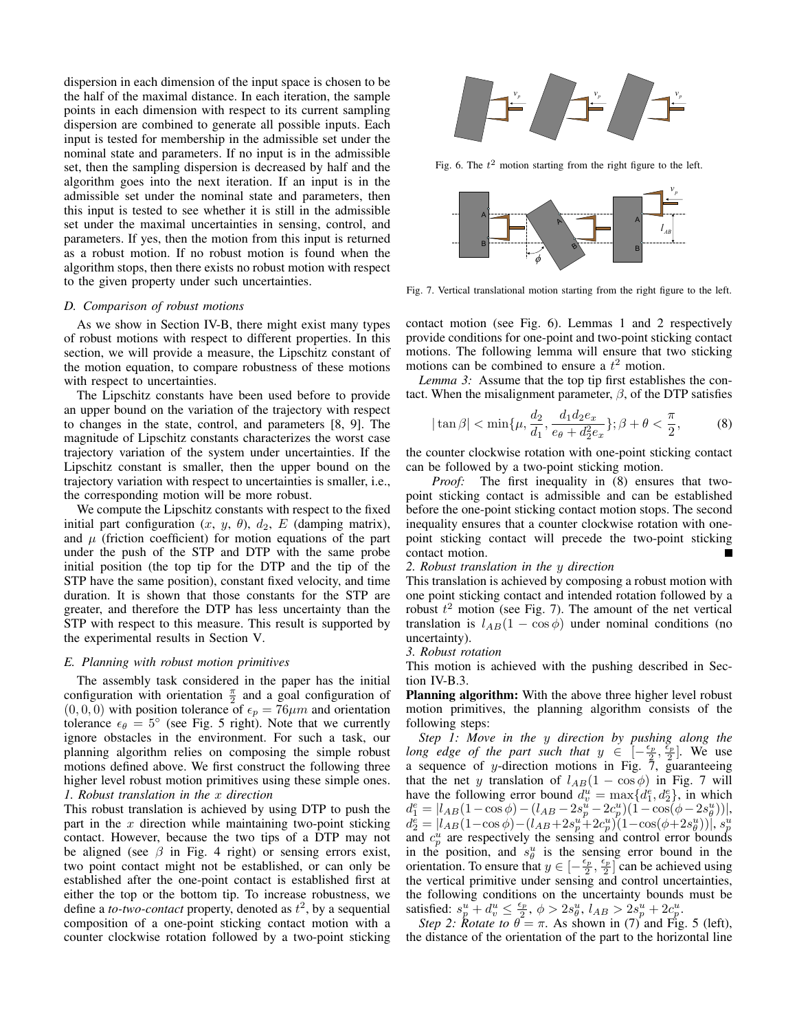dispersion in each dimension of the input space is chosen to be the half of the maximal distance. In each iteration, the sample points in each dimension with respect to its current sampling dispersion are combined to generate all possible inputs. Each input is tested for membership in the admissible set under the nominal state and parameters. If no input is in the admissible set, then the sampling dispersion is decreased by half and the algorithm goes into the next iteration. If an input is in the admissible set under the nominal state and parameters, then this input is tested to see whether it is still in the admissible set under the maximal uncertainties in sensing, control, and parameters. If yes, then the motion from this input is returned as a robust motion. If no robust motion is found when the algorithm stops, then there exists no robust motion with respect to the given property under such uncertainties.

## *D. Comparison of robust motions*

As we show in Section IV-B, there might exist many types of robust motions with respect to different properties. In this section, we will provide a measure, the Lipschitz constant of the motion equation, to compare robustness of these motions with respect to uncertainties.

The Lipschitz constants have been used before to provide an upper bound on the variation of the trajectory with respect to changes in the state, control, and parameters [8, 9]. The magnitude of Lipschitz constants characterizes the worst case trajectory variation of the system under uncertainties. If the Lipschitz constant is smaller, then the upper bound on the trajectory variation with respect to uncertainties is smaller, i.e., the corresponding motion will be more robust.

We compute the Lipschitz constants with respect to the fixed initial part configuration  $(x, y, \theta), d_2, E$  (damping matrix), and  $\mu$  (friction coefficient) for motion equations of the part under the push of the STP and DTP with the same probe initial position (the top tip for the DTP and the tip of the STP have the same position), constant fixed velocity, and time duration. It is shown that those constants for the STP are greater, and therefore the DTP has less uncertainty than the STP with respect to this measure. This result is supported by the experimental results in Section V.

### *E. Planning with robust motion primitives*

The assembly task considered in the paper has the initial configuration with orientation  $\frac{\pi}{2}$  and a goal configuration of (0, 0, 0) with position tolerance of  $\epsilon_n = 76 \mu m$  and orientation  $(0,0,0)$  with position tolerance of  $\epsilon_p = 76 \mu m$  and orientation tolerance  $\epsilon_{\theta} = 5^{\circ}$  (see Fig. 5 right). Note that we currently ignore obstacles in the environment. For such a task, our planning algorithm relies on composing the simple robust motions defined above. We first construct the following three higher level robust motion primitives using these simple ones. *1. Robust translation in the* x *direction*

This robust translation is achieved by using DTP to push the part in the  $x$  direction while maintaining two-point sticking contact. However, because the two tips of a DTP may not be aligned (see  $\beta$  in Fig. 4 right) or sensing errors exist, two point contact might not be established, or can only be established after the one-point contact is established first at either the top or the bottom tip. To increase robustness, we define a *to-two-contact* property, denoted as  $t^2$ , by a sequential composition of a one-point sticking contact motion with a counter clockwise rotation followed by a two-point sticking



Fig. 6. The  $t^2$  motion starting from the right figure to the left.



Fig. 7. Vertical translational motion starting from the right figure to the left.

contact motion (see Fig. 6). Lemmas 1 and 2 respectively provide conditions for one-point and two-point sticking contact motions. The following lemma will ensure that two sticking motions can be combined to ensure a  $t^2$  motion.

*Lemma 3:* Assume that the top tip first establishes the contact. When the misalignment parameter,  $\beta$ , of the DTP satisfies

$$
|\tan \beta| < \min\{\mu, \frac{d_2}{d_1}, \frac{d_1 d_2 e_x}{e_{\theta} + d_2^2 e_x}\}; \beta + \theta < \frac{\pi}{2},
$$
 (8)

the counter clockwise rotation with one-point sticking contact can be followed by a two-point sticking motion.

*Proof:* The first inequality in (8) ensures that twopoint sticking contact is admissible and can be established before the one-point sticking contact motion stops. The second inequality ensures that a counter clockwise rotation with onepoint sticking contact will precede the two-point sticking contact motion.

## *2. Robust translation in the* y *direction*

This translation is achieved by composing a robust motion with one point sticking contact and intended rotation followed by a robust  $t^2$  motion (see Fig. 7). The amount of the net vertical translation is  $l_{AB}(1 - \cos \phi)$  under nominal conditions (no uncertainty).

#### *3. Robust rotation*

This motion is achieved with the pushing described in Section IV-B.3.

Planning algorithm: With the above three higher level robust motion primitives, the planning algorithm consists of the following steps:

*Step 1: Move in the* y *direction by pushing along the long edge of the part such that*  $y \in [-\frac{\epsilon_p}{2}, \frac{\epsilon_p}{2}]$ . We use<br>a sequence of *u*-direction motions in Fig. 7, guaranteeing a sequence of y-direction motions in Fig.  $\bar{7}$ , guaranteeing that the net y translation of  $l_{AB}(1 - \cos \phi)$  in Fig. 7 will have the following error bound  $d_v^u = \max\{d_f^e, d_f^e\}$ , in which  $d_e^e = |l_{AD}(1-\cos\phi) - (l_{AD}-2s^u-2c^u)(1-\cos(\phi-2s^u))|$  $d_{\ell}^{e} = |l_{AB}(1-\cos\phi) - (l_{AB} - 2s_{p}^{u} - 2c_{p}^{u})(1-\cos(\phi - 2s_{p}^{u}))|,$ <br>  $d_{\ell}^{e} = |l_{AB}(1-\cos\phi) - (l_{AB} + 2\epsilon^{u} + 2c_{p}^{u})(1-\cos(\phi + 2\epsilon^{u}))|,$  $\frac{d_e^2}{d_{2e}^2} = \frac{|I_{AB}(1-\cos\phi) - (I_{AB}+2s_{p}^u+2c_{p}^u)(1-\cos(\phi+2s_{p}^u))|, s_{p}^u}{|I_{AB}(1-\cos(\phi+2s_{p}^u))|, s_{p}^u|}$ and  $c_p^u$  are respectively the sensing and control error bounds in the position, and  $s_\theta^u$  is the sensing error bound in the orientation. To ensure that  $y \in [-\frac{\epsilon_p}{2}, \frac{\epsilon_p}{2}]$  can be achieved using<br>the vertical primitive under sensing and control uncertainties. the vertical primitive under sensing and control uncertainties, the following conditions on the uncertainty bounds must be satisfied:  $s_p^u + d_v^u \le \frac{\epsilon_p}{2}, \ \phi > 2s_p^u, \ l_{AB} > 2s_p^u + 2c_p^u.$ <br>Step 2: Rotate to  $\theta = \pi$ . As shown in (7) and Fig.

*Step 2: Rotate to*  $\theta = \pi$ . As shown in (7) and Fig. 5 (left), the distance of the orientation of the part to the horizontal line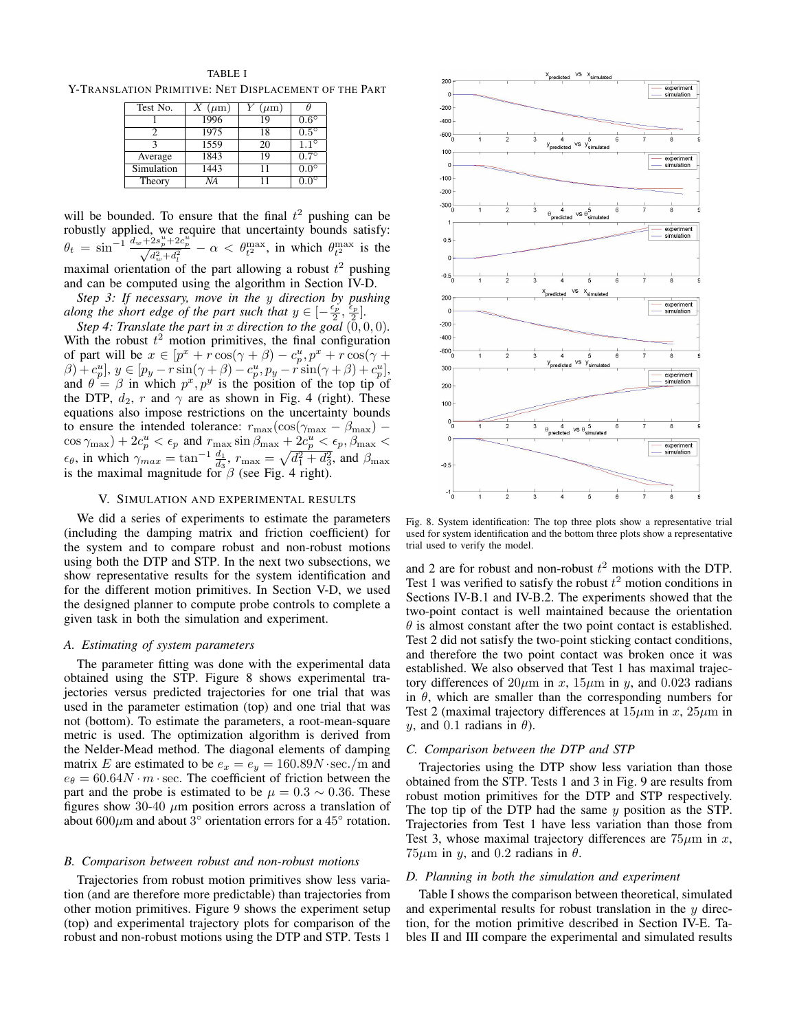TABLE I Y-TRANSLATION PRIMITIVE: NET DISPLACEMENT OF THE PART

| Test No.   | $(\mu m)$<br>X | $(\mu m)$ |               |
|------------|----------------|-----------|---------------|
|            | 1996           | 19        | $0.6^\circ$   |
|            | 1975           | 18        | $0.5^\circ$   |
|            | 1559           | 20        | $1.1^{\circ}$ |
| Average    | 1843           | 19        | $0.7^{\circ}$ |
| Simulation | 1443           |           | $0.0^\circ$   |
| Theory     | NΑ             |           |               |

will be bounded. To ensure that the final  $t^2$  pushing can be robustly applied, we require that uncertainty bounds satisfy:<br>  $\theta_t = \sin^{-1} \frac{d_w + 2s_p^u + 2c_p^u}{\sqrt{d_w^2 + d_t^2}} - \alpha < \theta_{t^2}^{\max}$ , in which  $\theta_{t^2}^{\max}$  is the maximal orientation of the part allowing a robust  $t^2$  pushing and can be computed using the algorithm in Section IV-D.

*Step 3: If necessary, move in the* y *direction by pushing along the short edge of the part such that*  $y \in [-\frac{\epsilon_p}{2}, \frac{\epsilon_p}{2}]$ .<br>Step 4: Translate the part in x direction to the eoal (0, 0)

*Step 4: Translate the part in* x *direction to the goal*  $(0,0,0)$ *.* With the robust  $t^2$  motion primitives, the final configuration of part will be  $x \in [p^x + r\cos(\gamma + \beta) - c_y^u, p^x + r\cos(\gamma + \beta)]$  $\beta$  +  $c_v^u$ ,  $y \in [p_y - r \sin(\gamma + \beta) - c_v^u, p_y - r \sin(\gamma + \beta) + c_v^u]$ , and  $\theta = \beta$  in which  $p^x, p^y$  is the position of the top tip of the DTP,  $d_2$ , r and  $\gamma$  are as shown in Fig. 4 (right). These equations also impose restrictions on the uncertainty bounds to ensure the intended tolerance:  $r_{\text{max}}(\cos(\gamma_{\text{max}} - \beta_{\text{max}}))$  –  $\cos \gamma_{\text{max}}$ ) +  $2c_p^u < \epsilon_p$  and  $r_{\text{max}} \sin \beta_{\text{max}}$  +  $2c_p^u < \epsilon_p$ ,  $\beta_{\text{max}}$  <  $\epsilon_{\theta}$ , in which  $\gamma_{max} = \tan^{-1} \frac{d_1}{d_3}$ ,  $r_{\text{max}} = \sqrt{d_1^2 + d_3^2}$ , and  $\beta_{\text{max}}$  is the maximal magnitude for  $\beta$  (see Fig. 4 right).

## V. SIMULATION AND EXPERIMENTAL RESULTS

We did a series of experiments to estimate the parameters (including the damping matrix and friction coefficient) for the system and to compare robust and non-robust motions using both the DTP and STP. In the next two subsections, we show representative results for the system identification and for the different motion primitives. In Section V-D, we used the designed planner to compute probe controls to complete a given task in both the simulation and experiment.

#### *A. Estimating of system parameters*

The parameter fitting was done with the experimental data obtained using the STP. Figure 8 shows experimental trajectories versus predicted trajectories for one trial that was used in the parameter estimation (top) and one trial that was not (bottom). To estimate the parameters, a root-mean-square metric is used. The optimization algorithm is derived from the Nelder-Mead method. The diagonal elements of damping matrix E are estimated to be  $e_x = e_y = 160.89N \cdot \text{sec./m}$  and  $e_{\theta} = 60.64N \cdot m \cdot \text{sec}$ . The coefficient of friction between the part and the probe is estimated to be  $\mu = 0.3 \sim 0.36$ . These figures show 30-40  $\mu$ m position errors across a translation of about 600 $\mu$ m and about 3 $\degree$  orientation errors for a 45 $\degree$  rotation.

#### *B. Comparison between robust and non-robust motions*

Trajectories from robust motion primitives show less variation (and are therefore more predictable) than trajectories from other motion primitives. Figure 9 shows the experiment setup (top) and experimental trajectory plots for comparison of the robust and non-robust motions using the DTP and STP. Tests 1



Fig. 8. System identification: The top three plots show a representative trial used for system identification and the bottom three plots show a representative trial used to verify the model.

and 2 are for robust and non-robust  $t^2$  motions with the DTP. Test 1 was verified to satisfy the robust  $t^2$  motion conditions in Sections IV-B.1 and IV-B.2. The experiments showed that the two-point contact is well maintained because the orientation  $\theta$  is almost constant after the two point contact is established. Test 2 did not satisfy the two-point sticking contact conditions, and therefore the two point contact was broken once it was established. We also observed that Test 1 has maximal trajectory differences of  $20\mu m$  in x,  $15\mu m$  in y, and 0.023 radians in  $\theta$ , which are smaller than the corresponding numbers for Test 2 (maximal trajectory differences at  $15\mu m$  in x,  $25\mu m$  in y, and 0.1 radians in  $\theta$ ).

## *C. Comparison between the DTP and STP*

Trajectories using the DTP show less variation than those obtained from the STP. Tests 1 and 3 in Fig. 9 are results from robust motion primitives for the DTP and STP respectively. The top tip of the DTP had the same y position as the STP. Trajectories from Test 1 have less variation than those from Test 3, whose maximal trajectory differences are  $75\mu m$  in x,  $75\mu m$  in y, and 0.2 radians in  $\theta$ .

## *D. Planning in both the simulation and experiment*

Table I shows the comparison between theoretical, simulated and experimental results for robust translation in the  $y$  direction, for the motion primitive described in Section IV-E. Tables II and III compare the experimental and simulated results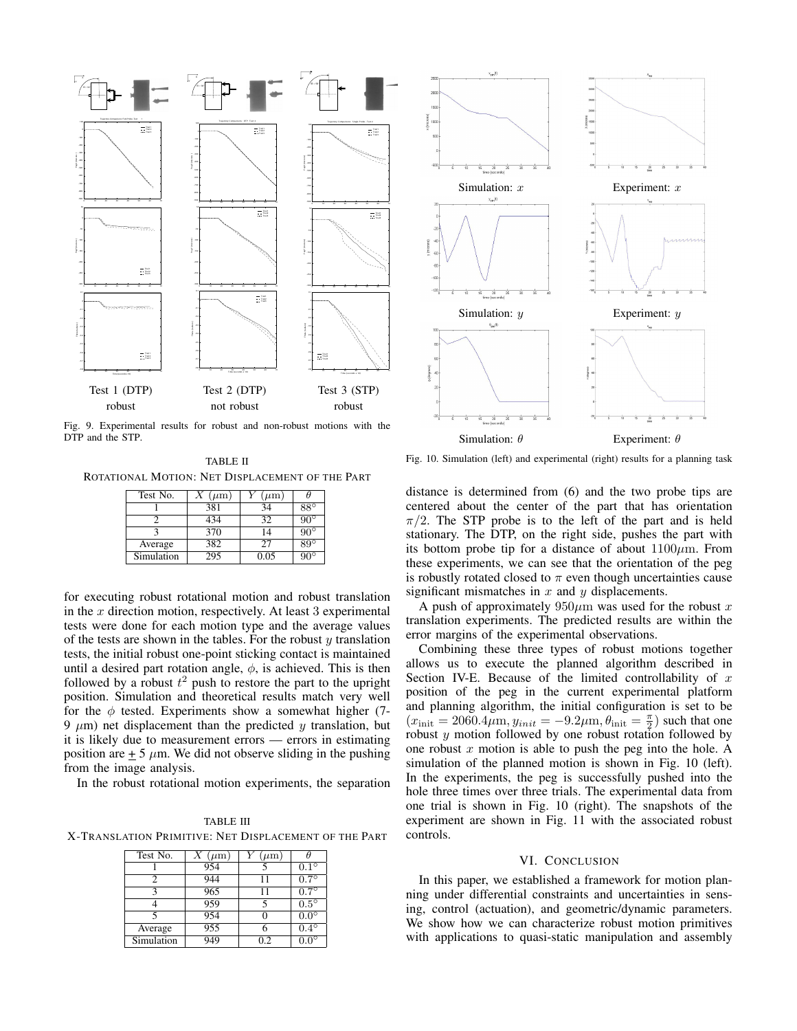

Fig. 9. Experimental results for robust and non-robust motions with the DTP and the STP.

TABLE II ROTATIONAL MOTION: NET DISPLACEMENT OF THE PART

| Test No.   | $(\mu m)$ | $\mu$ m        |     |
|------------|-----------|----------------|-----|
|            | 381       | 34             |     |
|            | 434       | 32             | 9U  |
|            | 370       | $\overline{4}$ | 90. |
| Average    | 382       | 27             |     |
| Simulation |           | 0.05           |     |

for executing robust rotational motion and robust translation in the  $x$  direction motion, respectively. At least 3 experimental tests were done for each motion type and the average values of the tests are shown in the tables. For the robust  $y$  translation tests, the initial robust one-point sticking contact is maintained until a desired part rotation angle,  $\phi$ , is achieved. This is then followed by a robust  $t^2$  push to restore the part to the upright position. Simulation and theoretical results match very well for the  $\phi$  tested. Experiments show a somewhat higher (7-9  $\mu$ m) net displacement than the predicted y translation, but it is likely due to measurement errors — errors in estimating position are  $+ 5 \mu$ m. We did not observe sliding in the pushing from the image analysis.

In the robust rotational motion experiments, the separation

## TABLE III

X-TRANSLATION PRIMITIVE: NET DISPLACEMENT OF THE PART

| Test No.   | $\mu$ m)<br>X | $\mu$ m) |                |
|------------|---------------|----------|----------------|
|            | 954           |          | $0.1^\circ$    |
|            | 944           |          | $(1.7^{\circ}$ |
|            | 965           |          | $0.7^\circ$    |
|            | 959           |          | $0.5^{\circ}$  |
|            | 954           |          | $0.0^\circ$    |
| Average    | 955           |          | $0.4^\circ$    |
| Simulation | 949           | 0.2      | ∘آ∩.ו          |



Fig. 10. Simulation (left) and experimental (right) results for a planning task

distance is determined from (6) and the two probe tips are centered about the center of the part that has orientation  $\pi/2$ . The STP probe is to the left of the part and is held stationary. The DTP, on the right side, pushes the part with its bottom probe tip for a distance of about  $1100 \mu$ m. From these experiments, we can see that the orientation of the peg is robustly rotated closed to  $\pi$  even though uncertainties cause significant mismatches in  $x$  and  $y$  displacements.

A push of approximately  $950 \mu m$  was used for the robust x translation experiments. The predicted results are within the error margins of the experimental observations.

Combining these three types of robust motions together allows us to execute the planned algorithm described in Section IV-E. Because of the limited controllability of  $x$ position of the peg in the current experimental platform and planning algorithm, the initial configuration is set to be  $(x_{\text{init}} = 2060.4 \mu \text{m}, y_{init} = -9.2 \mu \text{m}, \theta_{\text{init}} = \frac{\pi}{2}$  such that one robust u motion followed by one robust rotation followed by robust y motion followed by one robust rotation followed by one robust x motion is able to push the peg into the hole. A simulation of the planned motion is shown in Fig. 10 (left). In the experiments, the peg is successfully pushed into the hole three times over three trials. The experimental data from one trial is shown in Fig. 10 (right). The snapshots of the experiment are shown in Fig. 11 with the associated robust controls.

## VI. CONCLUSION

In this paper, we established a framework for motion planning under differential constraints and uncertainties in sensing, control (actuation), and geometric/dynamic parameters. We show how we can characterize robust motion primitives with applications to quasi-static manipulation and assembly